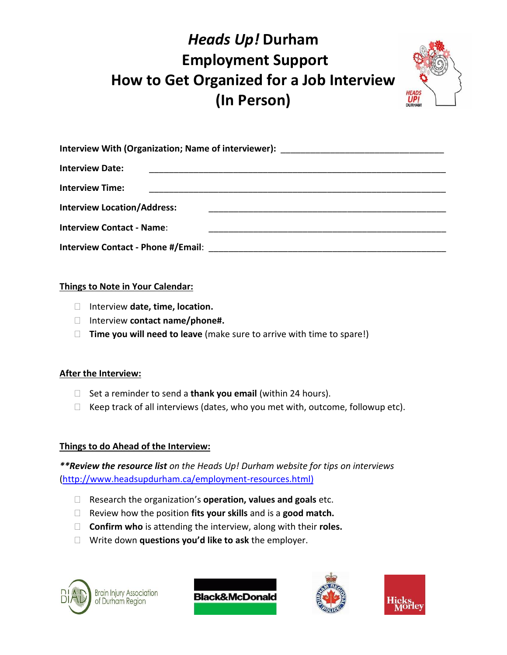## *Heads Up!* **Durham Employment Support How to Get Organized for a Job Interview (In Person)**



| Interview With (Organization; Name of interviewer): ____________________________ |  |
|----------------------------------------------------------------------------------|--|
| <b>Interview Date:</b>                                                           |  |
| <b>Interview Time:</b>                                                           |  |
| <b>Interview Location/Address:</b>                                               |  |
| <b>Interview Contact - Name:</b>                                                 |  |
|                                                                                  |  |

### **Things to Note in Your Calendar:**

- Interview **date, time, location.**
- Interview **contact name/phone#.**
- **Time you will need to leave** (make sure to arrive with time to spare!)

### **After the Interview:**

- □ Set a reminder to send a **thank you email** (within 24 hours).
- $\Box$  Keep track of all interviews (dates, who you met with, outcome, followup etc).

### **Things to do Ahead of the Interview:**

*\*\*Review the resource list on the Heads Up! Durham website for tips on interviews* [\(http://www.headsupdurham.ca/employment-resources.html\)](http://www.headsupdurham.ca/employment-resources.html)

- Research the organization's **operation, values and goals** etc.
- Review how the position **fits your skills** and is a **good match.**
- **Confirm who** is attending the interview, along with their **roles.**
- Write down **questions you'd like to ask** the employer.